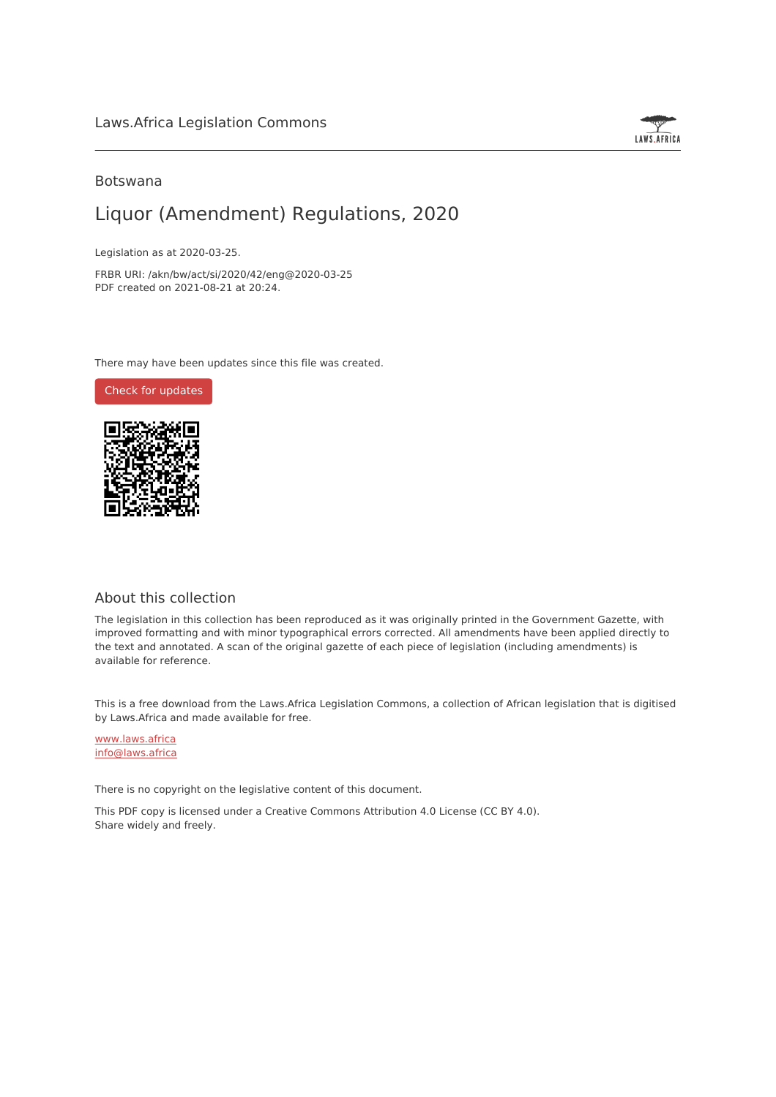

### Botswana

# Liquor (Amendment) Regulations, 2020

Legislation as at 2020-03-25.

FRBR URI: /akn/bw/act/si/2020/42/eng@2020-03-25 PDF created on 2021-08-21 at 20:24.

There may have been updates since this file was created.

Check for [updates](https://commons.laws.africa/akn/bw/act/si/2020/42/eng@2020-03-25?ts=2021-08-21T20:24:06.870231+00:00)



### About this collection

The legislation in this collection has been reproduced as it was originally printed in the Government Gazette, with improved formatting and with minor typographical errors corrected. All amendments have been applied directly to the text and annotated. A scan of the original gazette of each piece of legislation (including amendments) is available for reference.

This is a free download from the Laws.Africa Legislation Commons, a collection of African legislation that is digitised by Laws.Africa and made available for free.

[www.laws.africa](https://www.laws.africa) [info@laws.africa](mailto:info@laws.africa)

There is no copyright on the legislative content of this document.

This PDF copy is licensed under a Creative Commons Attribution 4.0 License (CC BY 4.0). Share widely and freely.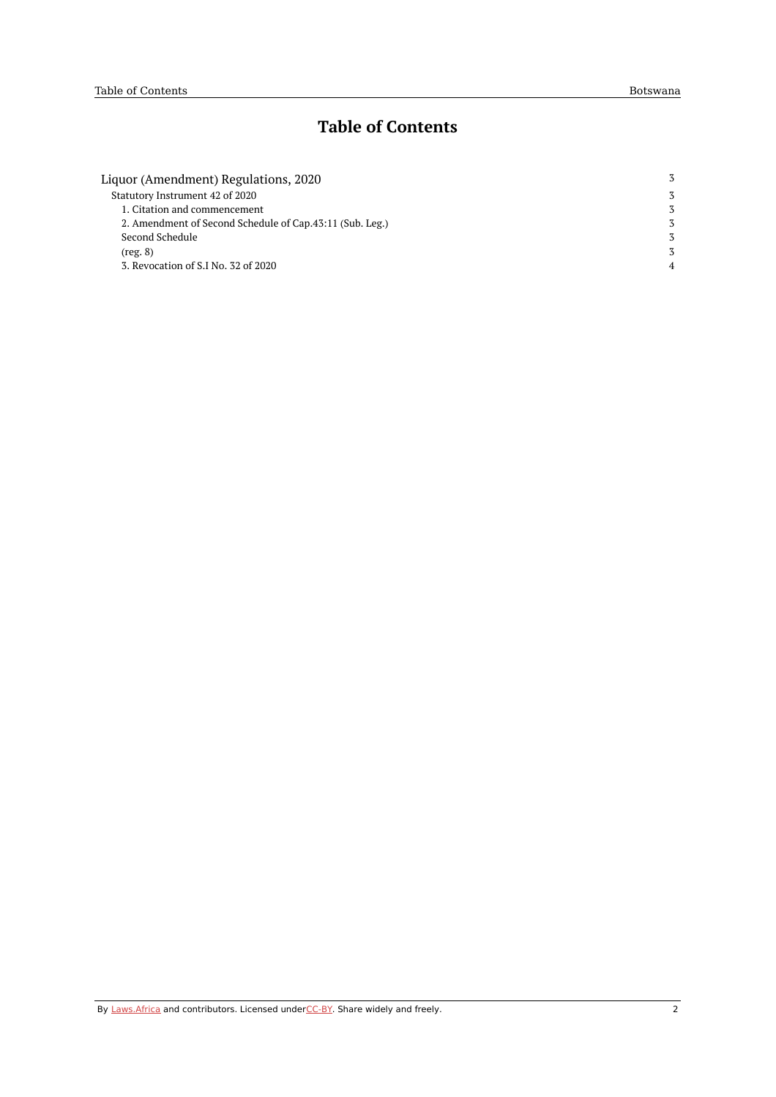# **Table of Contents**

| Liquor (Amendment) Regulations, 2020                     | 3 |
|----------------------------------------------------------|---|
| Statutory Instrument 42 of 2020                          | 3 |
| 1. Citation and commencement                             | 3 |
| 2. Amendment of Second Schedule of Cap.43:11 (Sub. Leg.) | 3 |
| Second Schedule                                          | 3 |
| (reg. 8)                                                 | 3 |
| 3. Revocation of S.I No. 32 of 2020                      | 4 |
|                                                          |   |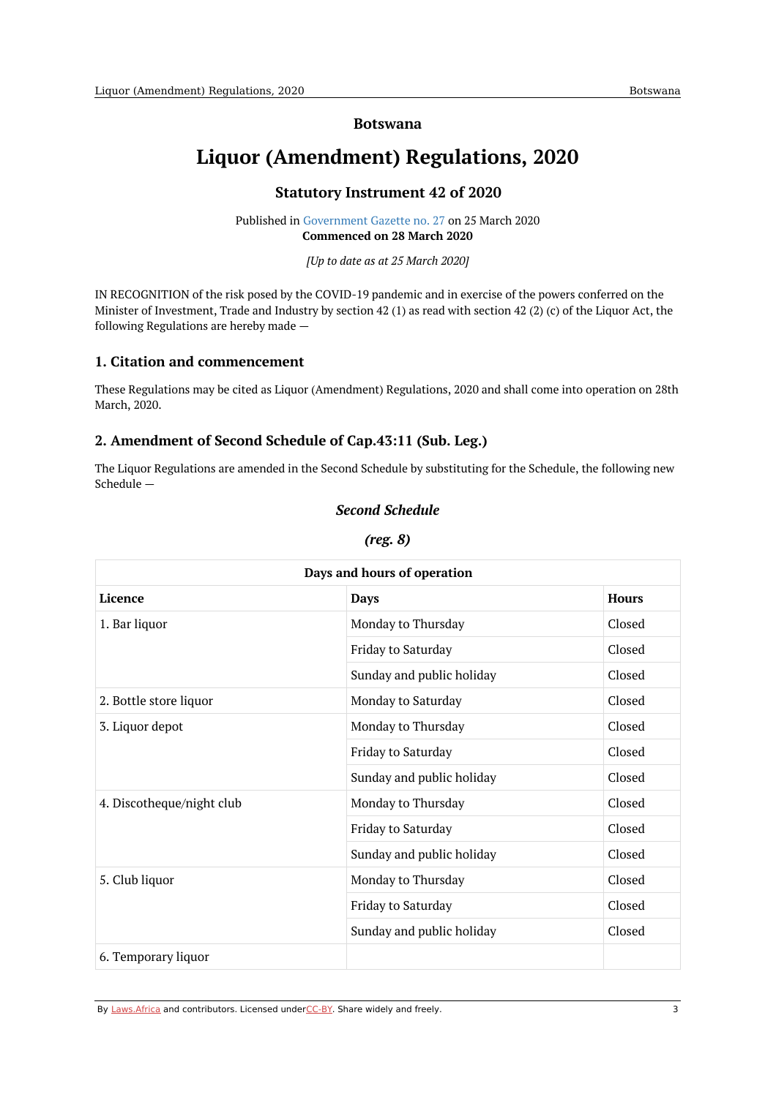#### **Botswana**

# <span id="page-2-1"></span><span id="page-2-0"></span>**Liquor (Amendment) Regulations, 2020**

#### **Statutory Instrument 42 of 2020**

Published in [Government](https://commons.laws.africa/akn/bw/act/si/2020/42/media/publication/bw-act-si-2020-42-publication-document.pdf) Gazette no. 27 on 25 March 2020 **Commenced on 28 March 2020**

*[Up to date as at 25 March 2020]*

IN RECOGNITION of the risk posed by the COVID-19 pandemic and in exercise of the powers conferred on the Minister of Investment, Trade and Industry by section 42 (1) as read with section 42 (2) (c) of the Liquor Act, the following Regulations are hereby made —

#### <span id="page-2-2"></span>**1. Citation and commencement**

These Regulations may be cited as Liquor (Amendment) Regulations, 2020 and shall come into operation on 28th March, 2020.

### <span id="page-2-3"></span>**2. Amendment of Second Schedule of Cap.43:11 (Sub. Leg.)**

<span id="page-2-4"></span>The Liquor Regulations are amended in the Second Schedule by substituting for the Schedule, the following new Schedule —

#### *Second Schedule*

| oo.<br>(r | . . |
|-----------|-----|
|-----------|-----|

<span id="page-2-5"></span>

| Days and hours of operation |                           |              |  |
|-----------------------------|---------------------------|--------------|--|
| Licence                     | <b>Days</b>               | <b>Hours</b> |  |
| 1. Bar liquor               | Monday to Thursday        | Closed       |  |
|                             | Friday to Saturday        | Closed       |  |
|                             | Sunday and public holiday | Closed       |  |
| 2. Bottle store liquor      | Monday to Saturday        | Closed       |  |
| 3. Liquor depot             | Monday to Thursday        | Closed       |  |
|                             | Friday to Saturday        | Closed       |  |
|                             | Sunday and public holiday | Closed       |  |
| 4. Discotheque/night club   | Monday to Thursday        | Closed       |  |
|                             | Friday to Saturday        | Closed       |  |
|                             | Sunday and public holiday | Closed       |  |
| 5. Club liquor              | Monday to Thursday        | Closed       |  |
|                             | Friday to Saturday        | Closed       |  |
|                             | Sunday and public holiday | Closed       |  |
| 6. Temporary liquor         |                           |              |  |

By [Laws.Africa](https://edit.laws.africa/widgets/pdf-attribution) and contributors. Licensed und[erCC-B](https://edit.laws.africa/widgets/pdf-cc-by)Y. Share widely and freely. 3